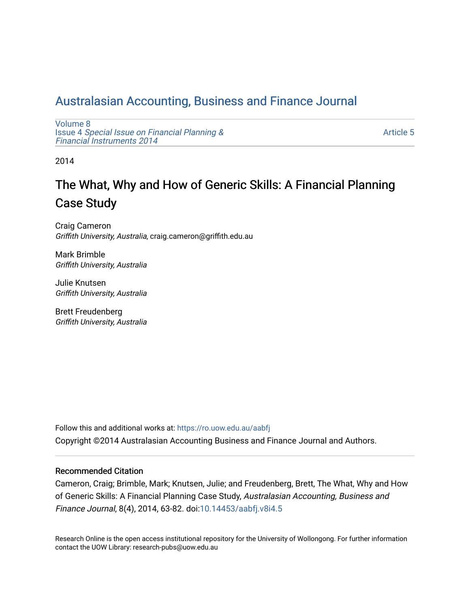## [Australasian Accounting, Business and Finance Journal](https://ro.uow.edu.au/aabfj)

[Volume 8](https://ro.uow.edu.au/aabfj/vol8) Issue 4 [Special Issue on Financial Planning &](https://ro.uow.edu.au/aabfj/vol8/iss4) [Financial Instruments 2014](https://ro.uow.edu.au/aabfj/vol8/iss4) 

[Article 5](https://ro.uow.edu.au/aabfj/vol8/iss4/5) 

2014

## The What, Why and How of Generic Skills: A Financial Planning Case Study

Craig Cameron Griffith University, Australia, craig.cameron@griffith.edu.au

Mark Brimble Griffith University, Australia

Julie Knutsen Griffith University, Australia

Brett Freudenberg Griffith University, Australia

Follow this and additional works at: [https://ro.uow.edu.au/aabfj](https://ro.uow.edu.au/aabfj?utm_source=ro.uow.edu.au%2Faabfj%2Fvol8%2Fiss4%2F5&utm_medium=PDF&utm_campaign=PDFCoverPages) Copyright ©2014 Australasian Accounting Business and Finance Journal and Authors.

#### Recommended Citation

Cameron, Craig; Brimble, Mark; Knutsen, Julie; and Freudenberg, Brett, The What, Why and How of Generic Skills: A Financial Planning Case Study, Australasian Accounting, Business and Finance Journal, 8(4), 2014, 63-82. doi[:10.14453/aabfj.v8i4.5](http://dx.doi.org/10.14453/aabfj.v8i4.5) 

Research Online is the open access institutional repository for the University of Wollongong. For further information contact the UOW Library: research-pubs@uow.edu.au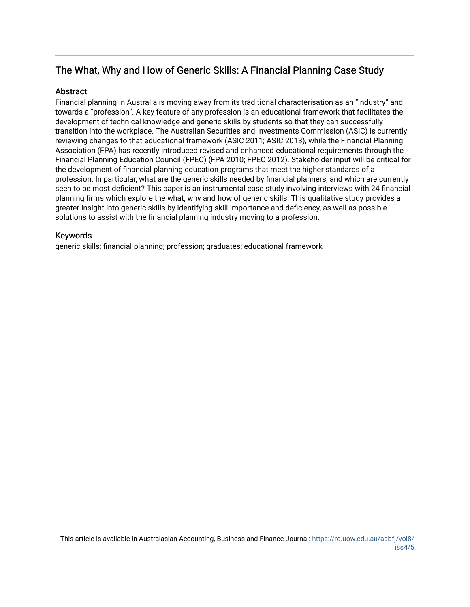## The What, Why and How of Generic Skills: A Financial Planning Case Study

## **Abstract**

Financial planning in Australia is moving away from its traditional characterisation as an "industry" and towards a "profession". A key feature of any profession is an educational framework that facilitates the development of technical knowledge and generic skills by students so that they can successfully transition into the workplace. The Australian Securities and Investments Commission (ASIC) is currently reviewing changes to that educational framework (ASIC 2011; ASIC 2013), while the Financial Planning Association (FPA) has recently introduced revised and enhanced educational requirements through the Financial Planning Education Council (FPEC) (FPA 2010; FPEC 2012). Stakeholder input will be critical for the development of financial planning education programs that meet the higher standards of a profession. In particular, what are the generic skills needed by financial planners; and which are currently seen to be most deficient? This paper is an instrumental case study involving interviews with 24 financial planning firms which explore the what, why and how of generic skills. This qualitative study provides a greater insight into generic skills by identifying skill importance and deficiency, as well as possible solutions to assist with the financial planning industry moving to a profession.

## Keywords

generic skills; financial planning; profession; graduates; educational framework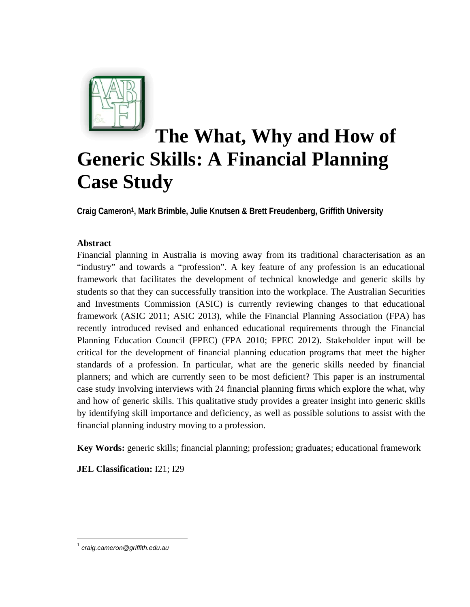

# **The What, Why and How of Generic Skills: A Financial Planning Case Study**

**Craig Cameron1, Mark Brimble, Julie Knutsen & Brett Freudenberg, Griffith University** 

## **Abstract**

Financial planning in Australia is moving away from its traditional characterisation as an "industry" and towards a "profession". A key feature of any profession is an educational framework that facilitates the development of technical knowledge and generic skills by students so that they can successfully transition into the workplace. The Australian Securities and Investments Commission (ASIC) is currently reviewing changes to that educational framework (ASIC 2011; ASIC 2013), while the Financial Planning Association (FPA) has recently introduced revised and enhanced educational requirements through the Financial Planning Education Council (FPEC) (FPA 2010; FPEC 2012). Stakeholder input will be critical for the development of financial planning education programs that meet the higher standards of a profession. In particular, what are the generic skills needed by financial planners; and which are currently seen to be most deficient? This paper is an instrumental case study involving interviews with 24 financial planning firms which explore the what, why and how of generic skills. This qualitative study provides a greater insight into generic skills by identifying skill importance and deficiency, as well as possible solutions to assist with the financial planning industry moving to a profession.

**Key Words:** generic skills; financial planning; profession; graduates; educational framework

**JEL Classification:** I21; I29

 $\overline{a}$ 

<sup>1</sup> *craig.cameron@griffith.edu.au*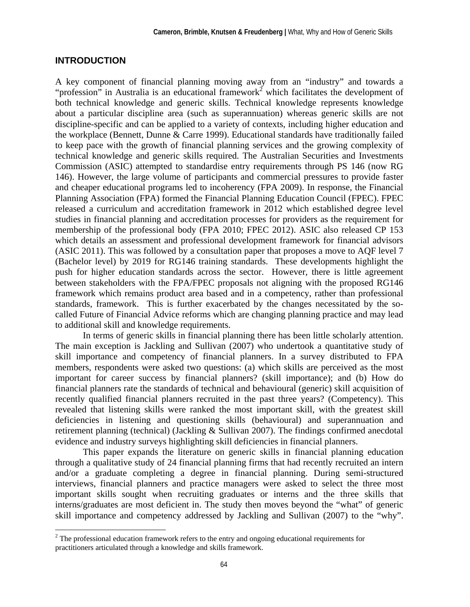## **INTRODUCTION**

A key component of financial planning moving away from an "industry" and towards a "profession" in Australia is an educational framework<sup>2</sup> which facilitates the development of both technical knowledge and generic skills. Technical knowledge represents knowledge about a particular discipline area (such as superannuation) whereas generic skills are not discipline-specific and can be applied to a variety of contexts, including higher education and the workplace (Bennett, Dunne & Carre 1999). Educational standards have traditionally failed to keep pace with the growth of financial planning services and the growing complexity of technical knowledge and generic skills required. The Australian Securities and Investments Commission (ASIC) attempted to standardise entry requirements through PS 146 (now RG 146). However, the large volume of participants and commercial pressures to provide faster and cheaper educational programs led to incoherency (FPA 2009). In response, the Financial Planning Association (FPA) formed the Financial Planning Education Council (FPEC). FPEC released a curriculum and accreditation framework in 2012 which established degree level studies in financial planning and accreditation processes for providers as the requirement for membership of the professional body (FPA 2010; FPEC 2012). ASIC also released CP 153 which details an assessment and professional development framework for financial advisors (ASIC 2011). This was followed by a consultation paper that proposes a move to AQF level 7 (Bachelor level) by 2019 for RG146 training standards. These developments highlight the push for higher education standards across the sector. However, there is little agreement between stakeholders with the FPA/FPEC proposals not aligning with the proposed RG146 framework which remains product area based and in a competency, rather than professional standards, framework. This is further exacerbated by the changes necessitated by the socalled Future of Financial Advice reforms which are changing planning practice and may lead to additional skill and knowledge requirements.

In terms of generic skills in financial planning there has been little scholarly attention. The main exception is Jackling and Sullivan (2007) who undertook a quantitative study of skill importance and competency of financial planners. In a survey distributed to FPA members, respondents were asked two questions: (a) which skills are perceived as the most important for career success by financial planners? (skill importance); and (b) How do financial planners rate the standards of technical and behavioural (generic) skill acquisition of recently qualified financial planners recruited in the past three years? (Competency). This revealed that listening skills were ranked the most important skill, with the greatest skill deficiencies in listening and questioning skills (behavioural) and superannuation and retirement planning (technical) (Jackling & Sullivan 2007). The findings confirmed anecdotal evidence and industry surveys highlighting skill deficiencies in financial planners.

This paper expands the literature on generic skills in financial planning education through a qualitative study of 24 financial planning firms that had recently recruited an intern and/or a graduate completing a degree in financial planning. During semi-structured interviews, financial planners and practice managers were asked to select the three most important skills sought when recruiting graduates or interns and the three skills that interns/graduates are most deficient in. The study then moves beyond the "what" of generic skill importance and competency addressed by Jackling and Sullivan (2007) to the "why".

<sup>&</sup>lt;sup>2</sup> The professional education framework refers to the entry and ongoing educational requirements for practitioners articulated through a knowledge and skills framework.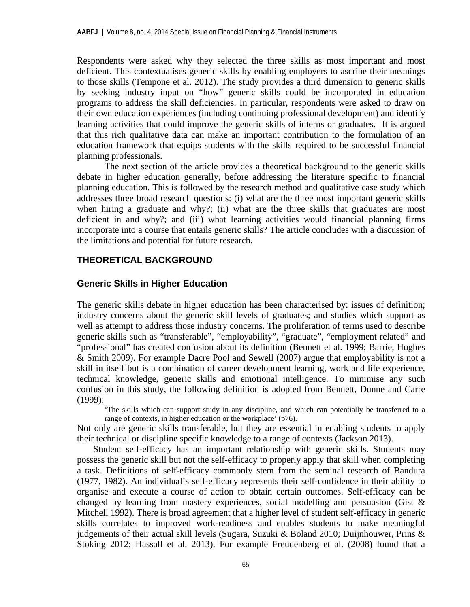Respondents were asked why they selected the three skills as most important and most deficient. This contextualises generic skills by enabling employers to ascribe their meanings to those skills (Tempone et al. 2012). The study provides a third dimension to generic skills by seeking industry input on "how" generic skills could be incorporated in education programs to address the skill deficiencies. In particular, respondents were asked to draw on their own education experiences (including continuing professional development) and identify learning activities that could improve the generic skills of interns or graduates. It is argued that this rich qualitative data can make an important contribution to the formulation of an education framework that equips students with the skills required to be successful financial planning professionals.

The next section of the article provides a theoretical background to the generic skills debate in higher education generally, before addressing the literature specific to financial planning education. This is followed by the research method and qualitative case study which addresses three broad research questions: (i) what are the three most important generic skills when hiring a graduate and why?; (ii) what are the three skills that graduates are most deficient in and why?; and (iii) what learning activities would financial planning firms incorporate into a course that entails generic skills? The article concludes with a discussion of the limitations and potential for future research.

## **THEORETICAL BACKGROUND**

## **Generic Skills in Higher Education**

The generic skills debate in higher education has been characterised by: issues of definition; industry concerns about the generic skill levels of graduates; and studies which support as well as attempt to address those industry concerns. The proliferation of terms used to describe generic skills such as "transferable", "employability", "graduate", "employment related" and "professional" has created confusion about its definition (Bennett et al. 1999; Barrie, Hughes & Smith 2009). For example Dacre Pool and Sewell (2007) argue that employability is not a skill in itself but is a combination of career development learning, work and life experience, technical knowledge, generic skills and emotional intelligence. To minimise any such confusion in this study, the following definition is adopted from Bennett, Dunne and Carre (1999):

'The skills which can support study in any discipline, and which can potentially be transferred to a range of contexts, in higher education or the workplace' (p76).

Not only are generic skills transferable, but they are essential in enabling students to apply their technical or discipline specific knowledge to a range of contexts (Jackson 2013).

Student self-efficacy has an important relationship with generic skills. Students may possess the generic skill but not the self-efficacy to properly apply that skill when completing a task. Definitions of self-efficacy commonly stem from the seminal research of Bandura (1977, 1982). An individual's self-efficacy represents their self-confidence in their ability to organise and execute a course of action to obtain certain outcomes. Self-efficacy can be changed by learning from mastery experiences, social modelling and persuasion (Gist & Mitchell 1992). There is broad agreement that a higher level of student self-efficacy in generic skills correlates to improved work-readiness and enables students to make meaningful judgements of their actual skill levels (Sugara, Suzuki & Boland 2010; Duijnhouwer, Prins & Stoking 2012; Hassall et al. 2013). For example Freudenberg et al. (2008) found that a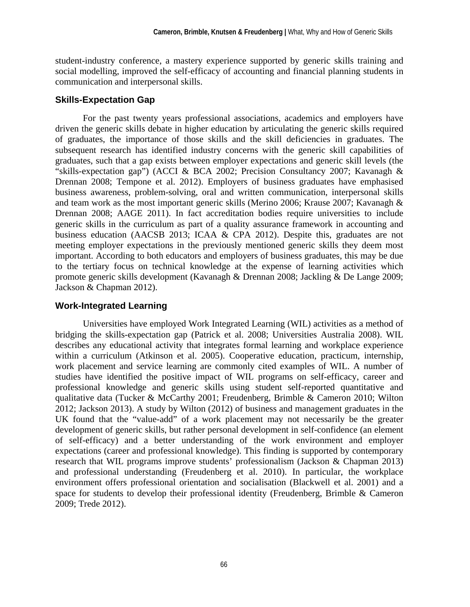student-industry conference, a mastery experience supported by generic skills training and social modelling, improved the self-efficacy of accounting and financial planning students in communication and interpersonal skills.

## **Skills-Expectation Gap**

For the past twenty years professional associations, academics and employers have driven the generic skills debate in higher education by articulating the generic skills required of graduates, the importance of those skills and the skill deficiencies in graduates. The subsequent research has identified industry concerns with the generic skill capabilities of graduates, such that a gap exists between employer expectations and generic skill levels (the "skills-expectation gap") (ACCI & BCA 2002; Precision Consultancy 2007; Kavanagh & Drennan 2008; Tempone et al. 2012). Employers of business graduates have emphasised business awareness, problem-solving, oral and written communication, interpersonal skills and team work as the most important generic skills (Merino 2006; Krause 2007; Kavanagh & Drennan 2008; AAGE 2011). In fact accreditation bodies require universities to include generic skills in the curriculum as part of a quality assurance framework in accounting and business education (AACSB 2013; ICAA & CPA 2012). Despite this, graduates are not meeting employer expectations in the previously mentioned generic skills they deem most important. According to both educators and employers of business graduates, this may be due to the tertiary focus on technical knowledge at the expense of learning activities which promote generic skills development (Kavanagh & Drennan 2008; Jackling & De Lange 2009; Jackson & Chapman 2012).

## **Work-Integrated Learning**

Universities have employed Work Integrated Learning (WIL) activities as a method of bridging the skills-expectation gap (Patrick et al. 2008; Universities Australia 2008). WIL describes any educational activity that integrates formal learning and workplace experience within a curriculum (Atkinson et al. 2005). Cooperative education, practicum, internship, work placement and service learning are commonly cited examples of WIL. A number of studies have identified the positive impact of WIL programs on self-efficacy, career and professional knowledge and generic skills using student self-reported quantitative and qualitative data (Tucker & McCarthy 2001; Freudenberg, Brimble & Cameron 2010; Wilton 2012; Jackson 2013). A study by Wilton (2012) of business and management graduates in the UK found that the "value-add" of a work placement may not necessarily be the greater development of generic skills, but rather personal development in self-confidence (an element of self-efficacy) and a better understanding of the work environment and employer expectations (career and professional knowledge). This finding is supported by contemporary research that WIL programs improve students' professionalism (Jackson & Chapman 2013) and professional understanding (Freudenberg et al. 2010). In particular, the workplace environment offers professional orientation and socialisation (Blackwell et al. 2001) and a space for students to develop their professional identity (Freudenberg, Brimble & Cameron 2009; Trede 2012).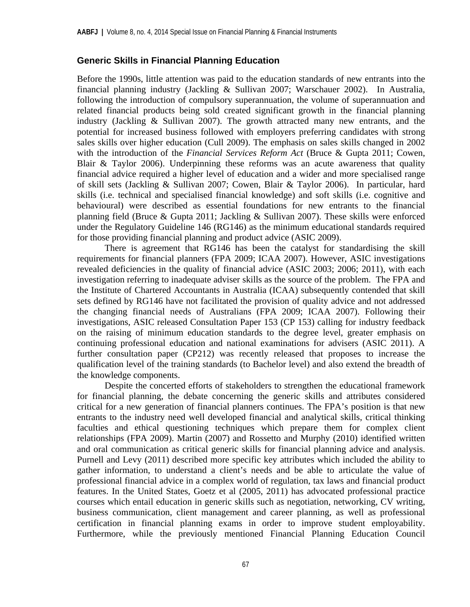## **Generic Skills in Financial Planning Education**

Before the 1990s, little attention was paid to the education standards of new entrants into the financial planning industry (Jackling & Sullivan 2007; Warschauer 2002). In Australia, following the introduction of compulsory superannuation, the volume of superannuation and related financial products being sold created significant growth in the financial planning industry (Jackling & Sullivan 2007). The growth attracted many new entrants, and the potential for increased business followed with employers preferring candidates with strong sales skills over higher education (Cull 2009). The emphasis on sales skills changed in 2002 with the introduction of the *Financial Services Reform Act* (Bruce & Gupta 2011; Cowen, Blair & Taylor 2006). Underpinning these reforms was an acute awareness that quality financial advice required a higher level of education and a wider and more specialised range of skill sets (Jackling & Sullivan 2007; Cowen, Blair & Taylor 2006). In particular, hard skills (i.e. technical and specialised financial knowledge) and soft skills (i.e. cognitive and behavioural) were described as essential foundations for new entrants to the financial planning field (Bruce & Gupta 2011; Jackling & Sullivan 2007). These skills were enforced under the Regulatory Guideline 146 (RG146) as the minimum educational standards required for those providing financial planning and product advice (ASIC 2009).

There is agreement that RG146 has been the catalyst for standardising the skill requirements for financial planners (FPA 2009; ICAA 2007). However, ASIC investigations revealed deficiencies in the quality of financial advice (ASIC 2003; 2006; 2011), with each investigation referring to inadequate adviser skills as the source of the problem. The FPA and the Institute of Chartered Accountants in Australia (ICAA) subsequently contended that skill sets defined by RG146 have not facilitated the provision of quality advice and not addressed the changing financial needs of Australians (FPA 2009; ICAA 2007). Following their investigations, ASIC released Consultation Paper 153 (CP 153) calling for industry feedback on the raising of minimum education standards to the degree level, greater emphasis on continuing professional education and national examinations for advisers (ASIC 2011). A further consultation paper (CP212) was recently released that proposes to increase the qualification level of the training standards (to Bachelor level) and also extend the breadth of the knowledge components.

Despite the concerted efforts of stakeholders to strengthen the educational framework for financial planning, the debate concerning the generic skills and attributes considered critical for a new generation of financial planners continues. The FPA's position is that new entrants to the industry need well developed financial and analytical skills, critical thinking faculties and ethical questioning techniques which prepare them for complex client relationships (FPA 2009). Martin (2007) and Rossetto and Murphy (2010) identified written and oral communication as critical generic skills for financial planning advice and analysis. Purnell and Levy (2011) described more specific key attributes which included the ability to gather information, to understand a client's needs and be able to articulate the value of professional financial advice in a complex world of regulation, tax laws and financial product features. In the United States, Goetz et al (2005, 2011) has advocated professional practice courses which entail education in generic skills such as negotiation, networking, CV writing, business communication, client management and career planning, as well as professional certification in financial planning exams in order to improve student employability. Furthermore, while the previously mentioned Financial Planning Education Council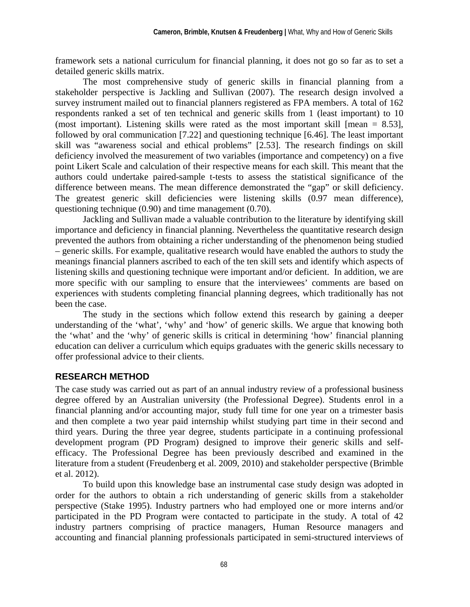framework sets a national curriculum for financial planning, it does not go so far as to set a detailed generic skills matrix.

The most comprehensive study of generic skills in financial planning from a stakeholder perspective is Jackling and Sullivan (2007). The research design involved a survey instrument mailed out to financial planners registered as FPA members. A total of 162 respondents ranked a set of ten technical and generic skills from 1 (least important) to 10 (most important). Listening skills were rated as the most important skill [mean  $= 8.53$ ], followed by oral communication [7.22] and questioning technique [6.46]. The least important skill was "awareness social and ethical problems" [2.53]. The research findings on skill deficiency involved the measurement of two variables (importance and competency) on a five point Likert Scale and calculation of their respective means for each skill. This meant that the authors could undertake paired-sample t-tests to assess the statistical significance of the difference between means. The mean difference demonstrated the "gap" or skill deficiency. The greatest generic skill deficiencies were listening skills (0.97 mean difference), questioning technique (0.90) and time management (0.70).

Jackling and Sullivan made a valuable contribution to the literature by identifying skill importance and deficiency in financial planning. Nevertheless the quantitative research design prevented the authors from obtaining a richer understanding of the phenomenon being studied – generic skills. For example, qualitative research would have enabled the authors to study the meanings financial planners ascribed to each of the ten skill sets and identify which aspects of listening skills and questioning technique were important and/or deficient. In addition, we are more specific with our sampling to ensure that the interviewees' comments are based on experiences with students completing financial planning degrees, which traditionally has not been the case.

The study in the sections which follow extend this research by gaining a deeper understanding of the 'what', 'why' and 'how' of generic skills. We argue that knowing both the 'what' and the 'why' of generic skills is critical in determining 'how' financial planning education can deliver a curriculum which equips graduates with the generic skills necessary to offer professional advice to their clients.

## **RESEARCH METHOD**

The case study was carried out as part of an annual industry review of a professional business degree offered by an Australian university (the Professional Degree). Students enrol in a financial planning and/or accounting major, study full time for one year on a trimester basis and then complete a two year paid internship whilst studying part time in their second and third years. During the three year degree, students participate in a continuing professional development program (PD Program) designed to improve their generic skills and selfefficacy. The Professional Degree has been previously described and examined in the literature from a student (Freudenberg et al. 2009, 2010) and stakeholder perspective (Brimble et al. 2012).

To build upon this knowledge base an instrumental case study design was adopted in order for the authors to obtain a rich understanding of generic skills from a stakeholder perspective (Stake 1995). Industry partners who had employed one or more interns and/or participated in the PD Program were contacted to participate in the study. A total of 42 industry partners comprising of practice managers, Human Resource managers and accounting and financial planning professionals participated in semi-structured interviews of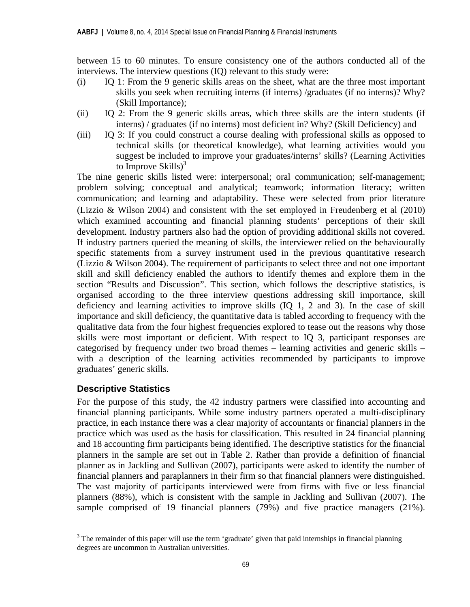between 15 to 60 minutes. To ensure consistency one of the authors conducted all of the interviews. The interview questions (IQ) relevant to this study were:

- (i) IQ 1: From the 9 generic skills areas on the sheet, what are the three most important skills you seek when recruiting interns (if interns) /graduates (if no interns)? Why? (Skill Importance);
- (ii) IQ 2: From the 9 generic skills areas, which three skills are the intern students (if interns) / graduates (if no interns) most deficient in? Why? (Skill Deficiency) and
- (iii) IQ 3: If you could construct a course dealing with professional skills as opposed to technical skills (or theoretical knowledge), what learning activities would you suggest be included to improve your graduates/interns' skills? (Learning Activities to Improve  $\text{Skills}$ <sup>3</sup>

The nine generic skills listed were: interpersonal; oral communication; self-management; problem solving; conceptual and analytical; teamwork; information literacy; written communication; and learning and adaptability. These were selected from prior literature (Lizzio & Wilson 2004) and consistent with the set employed in Freudenberg et al (2010) which examined accounting and financial planning students' perceptions of their skill development. Industry partners also had the option of providing additional skills not covered. If industry partners queried the meaning of skills, the interviewer relied on the behaviourally specific statements from a survey instrument used in the previous quantitative research (Lizzio & Wilson 2004). The requirement of participants to select three and not one important skill and skill deficiency enabled the authors to identify themes and explore them in the section "Results and Discussion". This section, which follows the descriptive statistics, is organised according to the three interview questions addressing skill importance, skill deficiency and learning activities to improve skills (IQ 1, 2 and 3). In the case of skill importance and skill deficiency, the quantitative data is tabled according to frequency with the qualitative data from the four highest frequencies explored to tease out the reasons why those skills were most important or deficient. With respect to IQ 3, participant responses are categorised by frequency under two broad themes – learning activities and generic skills – with a description of the learning activities recommended by participants to improve graduates' generic skills.

## **Descriptive Statistics**

 $\overline{a}$ 

For the purpose of this study, the 42 industry partners were classified into accounting and financial planning participants. While some industry partners operated a multi-disciplinary practice, in each instance there was a clear majority of accountants or financial planners in the practice which was used as the basis for classification. This resulted in 24 financial planning and 18 accounting firm participants being identified. The descriptive statistics for the financial planners in the sample are set out in Table 2. Rather than provide a definition of financial planner as in Jackling and Sullivan (2007), participants were asked to identify the number of financial planners and paraplanners in their firm so that financial planners were distinguished. The vast majority of participants interviewed were from firms with five or less financial planners (88%), which is consistent with the sample in Jackling and Sullivan (2007). The sample comprised of 19 financial planners (79%) and five practice managers (21%).

 $3$  The remainder of this paper will use the term 'graduate' given that paid internships in financial planning degrees are uncommon in Australian universities.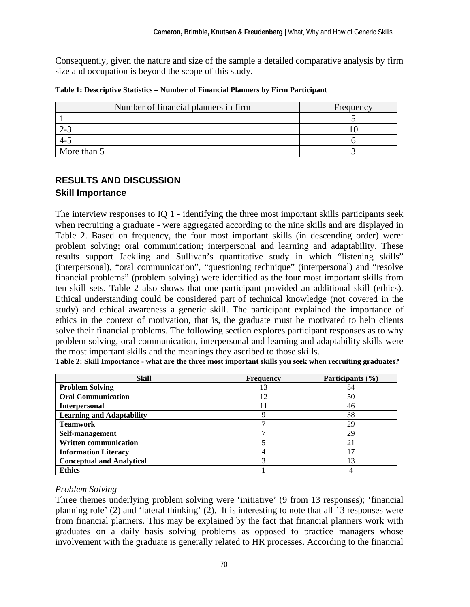Consequently, given the nature and size of the sample a detailed comparative analysis by firm size and occupation is beyond the scope of this study.

| Table 1: Descriptive Statistics - Number of Financial Planners by Firm Participant |  |  |  |  |
|------------------------------------------------------------------------------------|--|--|--|--|
|------------------------------------------------------------------------------------|--|--|--|--|

| Number of financial planners in firm | Frequency |
|--------------------------------------|-----------|
|                                      |           |
|                                      |           |
|                                      |           |
| More than 5                          |           |

## **RESULTS AND DISCUSSION Skill Importance**

The interview responses to IQ 1 - identifying the three most important skills participants seek when recruiting a graduate - were aggregated according to the nine skills and are displayed in Table 2. Based on frequency, the four most important skills (in descending order) were: problem solving; oral communication; interpersonal and learning and adaptability. These results support Jackling and Sullivan's quantitative study in which "listening skills" (interpersonal), "oral communication", "questioning technique" (interpersonal) and "resolve financial problems" (problem solving) were identified as the four most important skills from ten skill sets. Table 2 also shows that one participant provided an additional skill (ethics). Ethical understanding could be considered part of technical knowledge (not covered in the study) and ethical awareness a generic skill. The participant explained the importance of ethics in the context of motivation, that is, the graduate must be motivated to help clients solve their financial problems. The following section explores participant responses as to why problem solving, oral communication, interpersonal and learning and adaptability skills were the most important skills and the meanings they ascribed to those skills.

| <b>Skill</b>                     | <b>Frequency</b> | Participants (%) |
|----------------------------------|------------------|------------------|
| <b>Problem Solving</b>           | 13               | 54               |
| <b>Oral Communication</b>        | 12               | 50               |
| <b>Interpersonal</b>             |                  | 46               |
| <b>Learning and Adaptability</b> |                  | 38               |
| <b>Teamwork</b>                  |                  | 29               |
| Self-management                  |                  | 29               |
| <b>Written communication</b>     |                  | 21               |
| <b>Information Literacy</b>      |                  | 17               |
| <b>Conceptual and Analytical</b> |                  | 13               |
| <b>Ethics</b>                    |                  |                  |

**Table 2: Skill Importance - what are the three most important skills you seek when recruiting graduates?** 

## *Problem Solving*

Three themes underlying problem solving were 'initiative' (9 from 13 responses); 'financial planning role' (2) and 'lateral thinking' (2). It is interesting to note that all 13 responses were from financial planners. This may be explained by the fact that financial planners work with graduates on a daily basis solving problems as opposed to practice managers whose involvement with the graduate is generally related to HR processes. According to the financial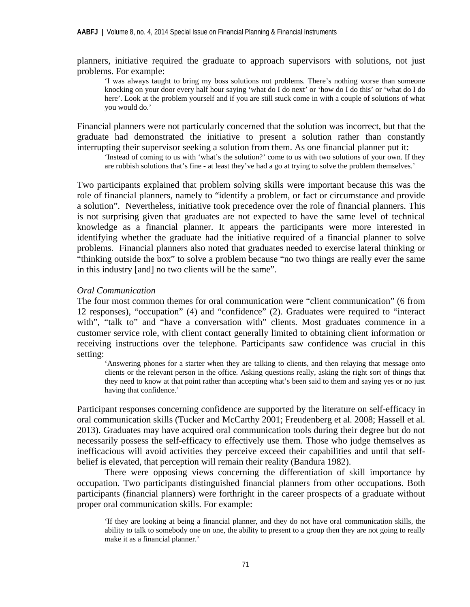planners, initiative required the graduate to approach supervisors with solutions, not just problems. For example:

'I was always taught to bring my boss solutions not problems. There's nothing worse than someone knocking on your door every half hour saying 'what do I do next' or 'how do I do this' or 'what do I do here'. Look at the problem yourself and if you are still stuck come in with a couple of solutions of what you would do.'

Financial planners were not particularly concerned that the solution was incorrect, but that the graduate had demonstrated the initiative to present a solution rather than constantly interrupting their supervisor seeking a solution from them. As one financial planner put it:

'Instead of coming to us with 'what's the solution?' come to us with two solutions of your own. If they are rubbish solutions that's fine - at least they've had a go at trying to solve the problem themselves.'

Two participants explained that problem solving skills were important because this was the role of financial planners, namely to "identify a problem, or fact or circumstance and provide a solution". Nevertheless, initiative took precedence over the role of financial planners. This is not surprising given that graduates are not expected to have the same level of technical knowledge as a financial planner. It appears the participants were more interested in identifying whether the graduate had the initiative required of a financial planner to solve problems. Financial planners also noted that graduates needed to exercise lateral thinking or "thinking outside the box" to solve a problem because "no two things are really ever the same in this industry [and] no two clients will be the same".

#### *Oral Communication*

The four most common themes for oral communication were "client communication" (6 from 12 responses), "occupation" (4) and "confidence" (2). Graduates were required to "interact with", "talk to" and "have a conversation with" clients. Most graduates commence in a customer service role, with client contact generally limited to obtaining client information or receiving instructions over the telephone. Participants saw confidence was crucial in this setting:

'Answering phones for a starter when they are talking to clients, and then relaying that message onto clients or the relevant person in the office. Asking questions really, asking the right sort of things that they need to know at that point rather than accepting what's been said to them and saying yes or no just having that confidence.'

Participant responses concerning confidence are supported by the literature on self-efficacy in oral communication skills (Tucker and McCarthy 2001; Freudenberg et al. 2008; Hassell et al. 2013). Graduates may have acquired oral communication tools during their degree but do not necessarily possess the self-efficacy to effectively use them. Those who judge themselves as inefficacious will avoid activities they perceive exceed their capabilities and until that selfbelief is elevated, that perception will remain their reality (Bandura 1982).

There were opposing views concerning the differentiation of skill importance by occupation. Two participants distinguished financial planners from other occupations. Both participants (financial planners) were forthright in the career prospects of a graduate without proper oral communication skills. For example:

<sup>&#</sup>x27;If they are looking at being a financial planner, and they do not have oral communication skills, the ability to talk to somebody one on one, the ability to present to a group then they are not going to really make it as a financial planner.'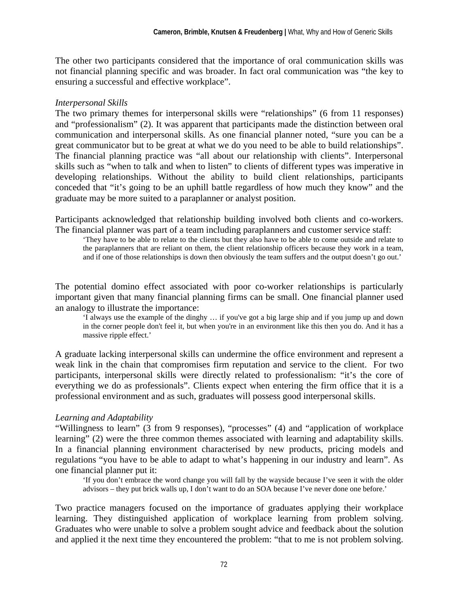The other two participants considered that the importance of oral communication skills was not financial planning specific and was broader. In fact oral communication was "the key to ensuring a successful and effective workplace".

## *Interpersonal Skills*

The two primary themes for interpersonal skills were "relationships" (6 from 11 responses) and "professionalism" (2). It was apparent that participants made the distinction between oral communication and interpersonal skills. As one financial planner noted, "sure you can be a great communicator but to be great at what we do you need to be able to build relationships". The financial planning practice was "all about our relationship with clients". Interpersonal skills such as "when to talk and when to listen" to clients of different types was imperative in developing relationships. Without the ability to build client relationships, participants conceded that "it's going to be an uphill battle regardless of how much they know" and the graduate may be more suited to a paraplanner or analyst position.

Participants acknowledged that relationship building involved both clients and co-workers. The financial planner was part of a team including paraplanners and customer service staff:

'They have to be able to relate to the clients but they also have to be able to come outside and relate to the paraplanners that are reliant on them, the client relationship officers because they work in a team, and if one of those relationships is down then obviously the team suffers and the output doesn't go out.'

The potential domino effect associated with poor co-worker relationships is particularly important given that many financial planning firms can be small. One financial planner used an analogy to illustrate the importance:

'I always use the example of the dinghy … if you've got a big large ship and if you jump up and down in the corner people don't feel it, but when you're in an environment like this then you do. And it has a massive ripple effect.'

A graduate lacking interpersonal skills can undermine the office environment and represent a weak link in the chain that compromises firm reputation and service to the client. For two participants, interpersonal skills were directly related to professionalism: "it's the core of everything we do as professionals". Clients expect when entering the firm office that it is a professional environment and as such, graduates will possess good interpersonal skills.

## *Learning and Adaptability*

"Willingness to learn" (3 from 9 responses), "processes" (4) and "application of workplace learning" (2) were the three common themes associated with learning and adaptability skills. In a financial planning environment characterised by new products, pricing models and regulations "you have to be able to adapt to what's happening in our industry and learn". As one financial planner put it:

'If you don't embrace the word change you will fall by the wayside because I've seen it with the older advisors – they put brick walls up, I don't want to do an SOA because I've never done one before.'

Two practice managers focused on the importance of graduates applying their workplace learning. They distinguished application of workplace learning from problem solving. Graduates who were unable to solve a problem sought advice and feedback about the solution and applied it the next time they encountered the problem: "that to me is not problem solving.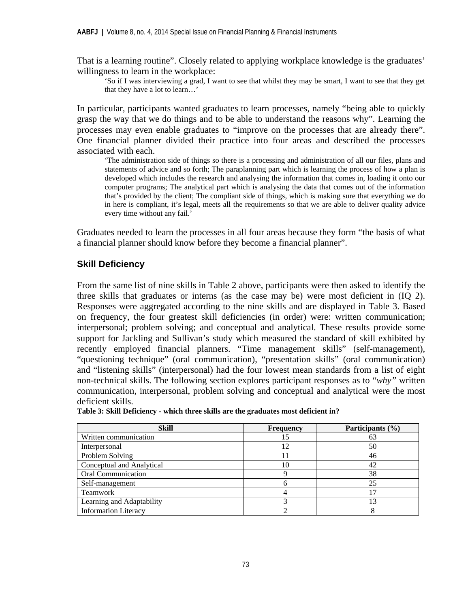That is a learning routine". Closely related to applying workplace knowledge is the graduates' willingness to learn in the workplace:

'So if I was interviewing a grad, I want to see that whilst they may be smart, I want to see that they get that they have a lot to learn…'

In particular, participants wanted graduates to learn processes, namely "being able to quickly grasp the way that we do things and to be able to understand the reasons why". Learning the processes may even enable graduates to "improve on the processes that are already there". One financial planner divided their practice into four areas and described the processes associated with each.

'The administration side of things so there is a processing and administration of all our files, plans and statements of advice and so forth; The paraplanning part which is learning the process of how a plan is developed which includes the research and analysing the information that comes in, loading it onto our computer programs; The analytical part which is analysing the data that comes out of the information that's provided by the client; The compliant side of things, which is making sure that everything we do in here is compliant, it's legal, meets all the requirements so that we are able to deliver quality advice every time without any fail.'

Graduates needed to learn the processes in all four areas because they form "the basis of what a financial planner should know before they become a financial planner".

## **Skill Deficiency**

From the same list of nine skills in Table 2 above, participants were then asked to identify the three skills that graduates or interns (as the case may be) were most deficient in (IQ 2). Responses were aggregated according to the nine skills and are displayed in Table 3. Based on frequency, the four greatest skill deficiencies (in order) were: written communication; interpersonal; problem solving; and conceptual and analytical. These results provide some support for Jackling and Sullivan's study which measured the standard of skill exhibited by recently employed financial planners. "Time management skills" (self-management), "questioning technique" (oral communication), "presentation skills" (oral communication) and "listening skills" (interpersonal) had the four lowest mean standards from a list of eight non-technical skills. The following section explores participant responses as to "*why"* written communication, interpersonal, problem solving and conceptual and analytical were the most deficient skills.

| <b>Skill</b>                | <b>Frequency</b> | Participants (%) |
|-----------------------------|------------------|------------------|
| Written communication       |                  |                  |
| Interpersonal               | 12               | 50               |
| Problem Solving             |                  | 46               |
| Conceptual and Analytical   | 10               | 42               |
| <b>Oral Communication</b>   |                  | 38               |
| Self-management             | n                | 25               |
| <b>Teamwork</b>             |                  |                  |
| Learning and Adaptability   |                  |                  |
| <b>Information Literacy</b> |                  |                  |

**Table 3: Skill Deficiency - which three skills are the graduates most deficient in?**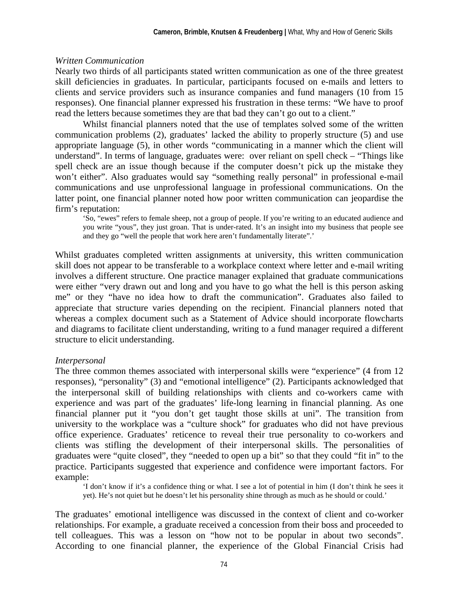### *Written Communication*

Nearly two thirds of all participants stated written communication as one of the three greatest skill deficiencies in graduates. In particular, participants focused on e-mails and letters to clients and service providers such as insurance companies and fund managers (10 from 15 responses). One financial planner expressed his frustration in these terms: "We have to proof read the letters because sometimes they are that bad they can't go out to a client."

Whilst financial planners noted that the use of templates solved some of the written communication problems (2), graduates' lacked the ability to properly structure (5) and use appropriate language (5), in other words "communicating in a manner which the client will understand". In terms of language, graduates were: over reliant on spell check – "Things like spell check are an issue though because if the computer doesn't pick up the mistake they won't either". Also graduates would say "something really personal" in professional e-mail communications and use unprofessional language in professional communications. On the latter point, one financial planner noted how poor written communication can jeopardise the firm's reputation:

'So, "ewes" refers to female sheep, not a group of people. If you're writing to an educated audience and you write "yous", they just groan. That is under-rated. It's an insight into my business that people see and they go "well the people that work here aren't fundamentally literate".'

Whilst graduates completed written assignments at university, this written communication skill does not appear to be transferable to a workplace context where letter and e-mail writing involves a different structure. One practice manager explained that graduate communications were either "very drawn out and long and you have to go what the hell is this person asking me" or they "have no idea how to draft the communication". Graduates also failed to appreciate that structure varies depending on the recipient. Financial planners noted that whereas a complex document such as a Statement of Advice should incorporate flowcharts and diagrams to facilitate client understanding, writing to a fund manager required a different structure to elicit understanding.

### *Interpersonal*

The three common themes associated with interpersonal skills were "experience" (4 from 12 responses), "personality" (3) and "emotional intelligence" (2). Participants acknowledged that the interpersonal skill of building relationships with clients and co-workers came with experience and was part of the graduates' life-long learning in financial planning. As one financial planner put it "you don't get taught those skills at uni". The transition from university to the workplace was a "culture shock" for graduates who did not have previous office experience. Graduates' reticence to reveal their true personality to co-workers and clients was stifling the development of their interpersonal skills. The personalities of graduates were "quite closed", they "needed to open up a bit" so that they could "fit in" to the practice. Participants suggested that experience and confidence were important factors. For example:

'I don't know if it's a confidence thing or what. I see a lot of potential in him (I don't think he sees it yet). He's not quiet but he doesn't let his personality shine through as much as he should or could.'

The graduates' emotional intelligence was discussed in the context of client and co-worker relationships. For example, a graduate received a concession from their boss and proceeded to tell colleagues. This was a lesson on "how not to be popular in about two seconds". According to one financial planner, the experience of the Global Financial Crisis had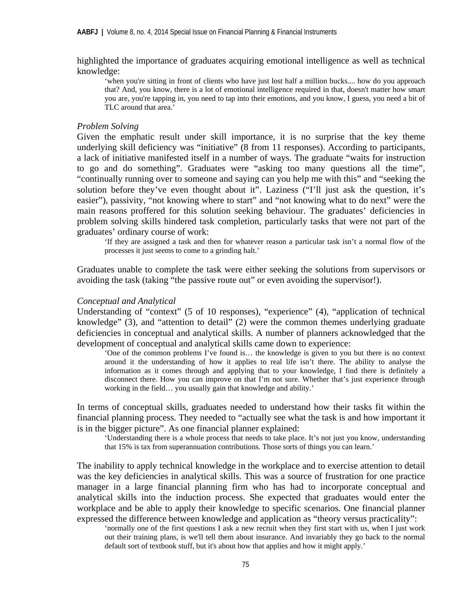highlighted the importance of graduates acquiring emotional intelligence as well as technical knowledge:

'when you're sitting in front of clients who have just lost half a million bucks.... how do you approach that? And, you know, there is a lot of emotional intelligence required in that, doesn't matter how smart you are, you're tapping in, you need to tap into their emotions, and you know, I guess, you need a bit of TLC around that area.'

#### *Problem Solving*

Given the emphatic result under skill importance, it is no surprise that the key theme underlying skill deficiency was "initiative" (8 from 11 responses). According to participants, a lack of initiative manifested itself in a number of ways. The graduate "waits for instruction to go and do something". Graduates were "asking too many questions all the time", "continually running over to someone and saying can you help me with this" and "seeking the solution before they've even thought about it". Laziness ("I'll just ask the question, it's easier"), passivity, "not knowing where to start" and "not knowing what to do next" were the main reasons proffered for this solution seeking behaviour. The graduates' deficiencies in problem solving skills hindered task completion, particularly tasks that were not part of the graduates' ordinary course of work:

'If they are assigned a task and then for whatever reason a particular task isn't a normal flow of the processes it just seems to come to a grinding halt.'

Graduates unable to complete the task were either seeking the solutions from supervisors or avoiding the task (taking "the passive route out" or even avoiding the supervisor!).

#### *Conceptual and Analytical*

Understanding of "context" (5 of 10 responses), "experience" (4), "application of technical knowledge" (3), and "attention to detail" (2) were the common themes underlying graduate deficiencies in conceptual and analytical skills. A number of planners acknowledged that the development of conceptual and analytical skills came down to experience:

'One of the common problems I've found is… the knowledge is given to you but there is no context around it the understanding of how it applies to real life isn't there. The ability to analyse the information as it comes through and applying that to your knowledge, I find there is definitely a disconnect there. How you can improve on that I'm not sure. Whether that's just experience through working in the field… you usually gain that knowledge and ability.'

In terms of conceptual skills, graduates needed to understand how their tasks fit within the financial planning process. They needed to "actually see what the task is and how important it is in the bigger picture". As one financial planner explained:

'Understanding there is a whole process that needs to take place. It's not just you know, understanding that 15% is tax from superannuation contributions. Those sorts of things you can learn.'

The inability to apply technical knowledge in the workplace and to exercise attention to detail was the key deficiencies in analytical skills. This was a source of frustration for one practice manager in a large financial planning firm who has had to incorporate conceptual and analytical skills into the induction process. She expected that graduates would enter the workplace and be able to apply their knowledge to specific scenarios. One financial planner expressed the difference between knowledge and application as "theory versus practicality":

'normally one of the first questions I ask a new recruit when they first start with us, when I just work out their training plans, is we'll tell them about insurance. And invariably they go back to the normal default sort of textbook stuff, but it's about how that applies and how it might apply.'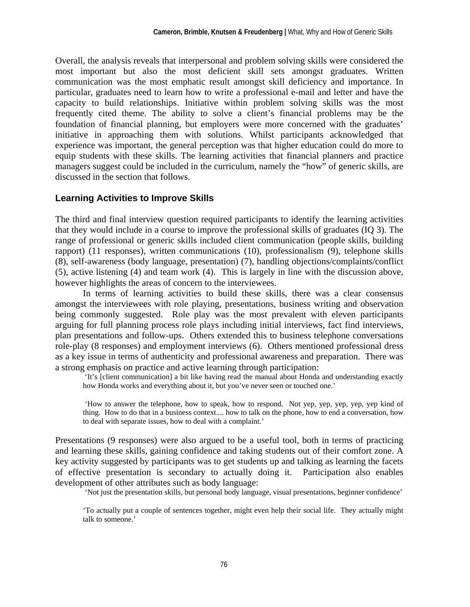Overall, the analysis reveals that interpersonal and problem solving skills were considered the most important but also the most deficient skill sets amongst graduates. Written communication was the most emphatic result amongst skill deficiency and importance. In particular, graduates need to learn how to write a professional e-mail and letter and have the capacity to build relationships. Initiative within problem solving skills was the most frequently cited theme. The ability to solve a client's financial problems may be the foundation of financial planning, but employers were more concerned with the graduates' initiative in approaching them with solutions. Whilst participants acknowledged that experience was important, the general perception was that higher education could do more to equip students with these skills. The learning activities that financial planners and practice managers suggest could be included in the curriculum, namely the "how" of generic skills, are discussed in the section that follows.

## **Learning Activities to Improve Skills**

The third and final interview question required participants to identify the learning activities that they would include in a course to improve the professional skills of graduates (IQ 3). The range of professional or generic skills included client communication (people skills, building rapport) (11 responses), written communications (10), professionalism (9), telephone skills (8), self-awareness (body language, presentation) (7), handling objections/complaints/conflict (5), active listening (4) and team work (4). This is largely in line with the discussion above, however highlights the areas of concern to the interviewees.

In terms of learning activities to build these skills, there was a clear consensus amongst the interviewees with role playing, presentations, business writing and observation being commonly suggested. Role play was the most prevalent with eleven participants arguing for full planning process role plays including initial interviews, fact find interviews, plan presentations and follow-ups. Others extended this to business telephone conversations role-play (8 responses) and employment interviews (6). Others mentioned professional dress as a key issue in terms of authenticity and professional awareness and preparation. There was a strong emphasis on practice and active learning through participation:

 'It's [client communication] a bit like having read the manual about Honda and understanding exactly how Honda works and everything about it, but you've never seen or touched one.'

 'How to answer the telephone, how to speak, how to respond. Not yep, yep, yep, yep, yep kind of thing. How to do that in a business context.... how to talk on the phone, how to end a conversation, how to deal with separate issues, how to deal with a complaint.'

Presentations (9 responses) were also argued to be a useful tool, both in terms of practicing and learning these skills, gaining confidence and taking students out of their comfort zone. A key activity suggested by participants was to get students up and talking as learning the facets of effective presentation is secondary to actually doing it. Participation also enables development of other attributes such as body language:

'Not just the presentation skills, but personal body language, visual presentations, beginner confidence'

'To actually put a couple of sentences together, might even help their social life. They actually might talk to someone.'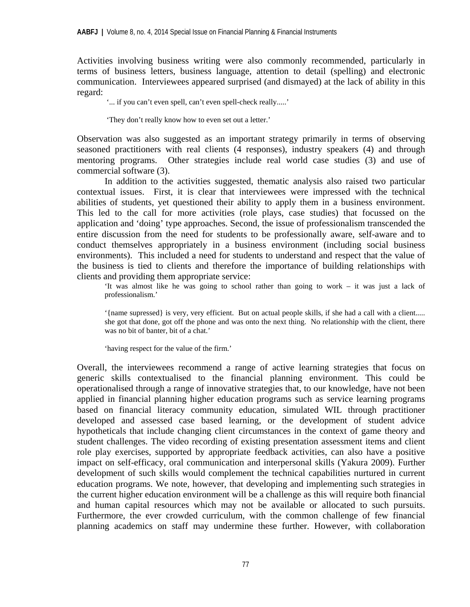Activities involving business writing were also commonly recommended, particularly in terms of business letters, business language, attention to detail (spelling) and electronic communication. Interviewees appeared surprised (and dismayed) at the lack of ability in this regard:

'... if you can't even spell, can't even spell-check really.....'

'They don't really know how to even set out a letter.'

Observation was also suggested as an important strategy primarily in terms of observing seasoned practitioners with real clients (4 responses), industry speakers (4) and through mentoring programs. Other strategies include real world case studies (3) and use of commercial software (3).

In addition to the activities suggested, thematic analysis also raised two particular contextual issues. First, it is clear that interviewees were impressed with the technical abilities of students, yet questioned their ability to apply them in a business environment. This led to the call for more activities (role plays, case studies) that focussed on the application and 'doing' type approaches. Second, the issue of professionalism transcended the entire discussion from the need for students to be professionally aware, self-aware and to conduct themselves appropriately in a business environment (including social business environments). This included a need for students to understand and respect that the value of the business is tied to clients and therefore the importance of building relationships with clients and providing them appropriate service:

'It was almost like he was going to school rather than going to work – it was just a lack of professionalism.'

'{name supressed} is very, very efficient. But on actual people skills, if she had a call with a client..... she got that done, got off the phone and was onto the next thing. No relationship with the client, there was no bit of banter, bit of a chat.'

'having respect for the value of the firm.'

Overall, the interviewees recommend a range of active learning strategies that focus on generic skills contextualised to the financial planning environment. This could be operationalised through a range of innovative strategies that, to our knowledge, have not been applied in financial planning higher education programs such as service learning programs based on financial literacy community education, simulated WIL through practitioner developed and assessed case based learning, or the development of student advice hypotheticals that include changing client circumstances in the context of game theory and student challenges. The video recording of existing presentation assessment items and client role play exercises, supported by appropriate feedback activities, can also have a positive impact on self-efficacy, oral communication and interpersonal skills (Yakura 2009). Further development of such skills would complement the technical capabilities nurtured in current education programs. We note, however, that developing and implementing such strategies in the current higher education environment will be a challenge as this will require both financial and human capital resources which may not be available or allocated to such pursuits. Furthermore, the ever crowded curriculum, with the common challenge of few financial planning academics on staff may undermine these further. However, with collaboration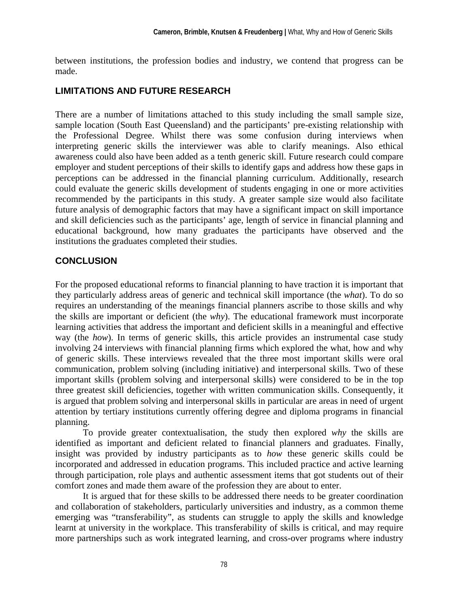between institutions, the profession bodies and industry, we contend that progress can be made.

## **LIMITATIONS AND FUTURE RESEARCH**

There are a number of limitations attached to this study including the small sample size, sample location (South East Queensland) and the participants' pre-existing relationship with the Professional Degree. Whilst there was some confusion during interviews when interpreting generic skills the interviewer was able to clarify meanings. Also ethical awareness could also have been added as a tenth generic skill. Future research could compare employer and student perceptions of their skills to identify gaps and address how these gaps in perceptions can be addressed in the financial planning curriculum. Additionally, research could evaluate the generic skills development of students engaging in one or more activities recommended by the participants in this study. A greater sample size would also facilitate future analysis of demographic factors that may have a significant impact on skill importance and skill deficiencies such as the participants' age, length of service in financial planning and educational background, how many graduates the participants have observed and the institutions the graduates completed their studies.

## **CONCLUSION**

For the proposed educational reforms to financial planning to have traction it is important that they particularly address areas of generic and technical skill importance (the *what*). To do so requires an understanding of the meanings financial planners ascribe to those skills and why the skills are important or deficient (the *why*). The educational framework must incorporate learning activities that address the important and deficient skills in a meaningful and effective way (the *how*). In terms of generic skills, this article provides an instrumental case study involving 24 interviews with financial planning firms which explored the what, how and why of generic skills. These interviews revealed that the three most important skills were oral communication, problem solving (including initiative) and interpersonal skills. Two of these important skills (problem solving and interpersonal skills) were considered to be in the top three greatest skill deficiencies, together with written communication skills. Consequently, it is argued that problem solving and interpersonal skills in particular are areas in need of urgent attention by tertiary institutions currently offering degree and diploma programs in financial planning.

To provide greater contextualisation, the study then explored *why* the skills are identified as important and deficient related to financial planners and graduates. Finally, insight was provided by industry participants as to *how* these generic skills could be incorporated and addressed in education programs. This included practice and active learning through participation, role plays and authentic assessment items that got students out of their comfort zones and made them aware of the profession they are about to enter.

It is argued that for these skills to be addressed there needs to be greater coordination and collaboration of stakeholders, particularly universities and industry, as a common theme emerging was "transferability", as students can struggle to apply the skills and knowledge learnt at university in the workplace. This transferability of skills is critical, and may require more partnerships such as work integrated learning, and cross-over programs where industry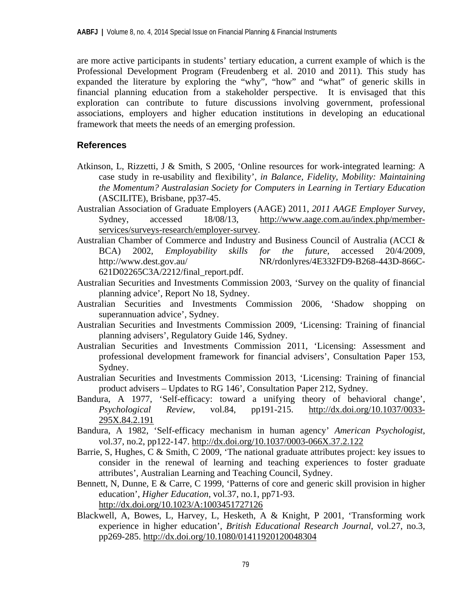are more active participants in students' tertiary education, a current example of which is the Professional Development Program (Freudenberg et al. 2010 and 2011). This study has expanded the literature by exploring the "why", "how" and "what" of generic skills in financial planning education from a stakeholder perspective. It is envisaged that this exploration can contribute to future discussions involving government, professional associations, employers and higher education institutions in developing an educational framework that meets the needs of an emerging profession.

## **References**

- Atkinson, L, Rizzetti, J & Smith, S 2005, 'Online resources for work-integrated learning: A case study in re-usability and flexibility', *in Balance, Fidelity, Mobility: Maintaining the Momentum? Australasian Society for Computers in Learning in Tertiary Education* (ASCILITE), Brisbane, pp37-45.
- Australian Association of Graduate Employers (AAGE) 2011, *2011 AAGE Employer Survey*, Sydney, accessed 18/08/13, http://www.aage.com.au/index.php/memberservices/surveys-research/employer-survey.
- Australian Chamber of Commerce and Industry and Business Council of Australia (ACCI & BCA) 2002, *Employability skills for the future*, accessed 20/4/2009, http://www.dest.gov.au/ NR/rdonlyres/4E332FD9-B268-443D-866C-621D02265C3A/2212/final\_report.pdf.
- Australian Securities and Investments Commission 2003, 'Survey on the quality of financial planning advice', Report No 18, Sydney.
- Australian Securities and Investments Commission 2006, 'Shadow shopping on superannuation advice', Sydney.
- Australian Securities and Investments Commission 2009, 'Licensing: Training of financial planning advisers', Regulatory Guide 146, Sydney.
- Australian Securities and Investments Commission 2011, 'Licensing: Assessment and professional development framework for financial advisers', Consultation Paper 153, Sydney.
- Australian Securities and Investments Commission 2013, 'Licensing: Training of financial product advisers – Updates to RG 146', Consultation Paper 212, Sydney.
- Bandura, A 1977, 'Self-efficacy: toward a unifying theory of behavioral change', *Psychological Review*, vol.84, pp191-215. http://dx.doi.org/10.1037/0033- 295X.84.2.191
- Bandura, A 1982, 'Self-efficacy mechanism in human agency' *American Psychologist*, vol.37, no.2, pp122-147. http://dx.doi.org/10.1037/0003-066X.37.2.122
- Barrie, S, Hughes, C & Smith, C 2009, 'The national graduate attributes project: key issues to consider in the renewal of learning and teaching experiences to foster graduate attributes', Australian Learning and Teaching Council, Sydney.
- Bennett, N, Dunne, E & Carre, C 1999, 'Patterns of core and generic skill provision in higher education', *Higher Education*, vol.37, no.1, pp71-93. http://dx.doi.org/10.1023/A:1003451727126
- Blackwell, A, Bowes, L, Harvey, L, Hesketh, A & Knight, P 2001, 'Transforming work experience in higher education', *British Educational Research Journal*, vol.27, no.3, pp269-285. http://dx.doi.org/10.1080/01411920120048304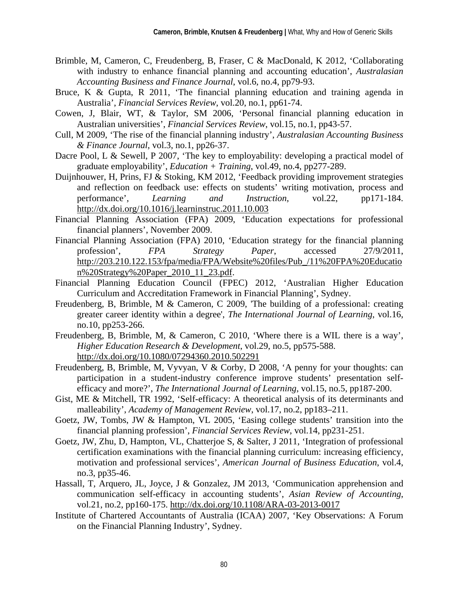- Brimble, M, Cameron, C, Freudenberg, B, Fraser, C & MacDonald, K 2012, 'Collaborating with industry to enhance financial planning and accounting education', *Australasian Accounting Business and Finance Journal*, vol.6, no.4, pp79-93.
- Bruce, K & Gupta, R 2011, 'The financial planning education and training agenda in Australia', *Financial Services Review*, vol.20, no.1, pp61-74.
- Cowen, J, Blair, WT, & Taylor, SM 2006, 'Personal financial planning education in Australian universities', *Financial Services Review*, vol.15, no.1, pp43-57.
- Cull, M 2009, 'The rise of the financial planning industry', *Australasian Accounting Business & Finance Journal*, vol.3, no.1, pp26-37.
- Dacre Pool, L & Sewell, P 2007, 'The key to employability: developing a practical model of graduate employability', *Education + Training*, vol.49, no.4, pp277-289.
- Duijnhouwer, H, Prins, FJ & Stoking, KM 2012, 'Feedback providing improvement strategies and reflection on feedback use: effects on students' writing motivation, process and performance', *Learning and Instruction*, vol.22, pp171-184. http://dx.doi.org/10.1016/j.learninstruc.2011.10.003
- Financial Planning Association (FPA) 2009, 'Education expectations for professional financial planners', November 2009.
- Financial Planning Association (FPA) 2010, 'Education strategy for the financial planning profession', *FPA Strategy Paper*, accessed 27/9/2011, http://203.210.122.153/fpa/media/FPA/Website%20files/Pub\_/11%20FPA%20Educatio n%20Strategy%20Paper\_2010\_11\_23.pdf.
- Financial Planning Education Council (FPEC) 2012, 'Australian Higher Education Curriculum and Accreditation Framework in Financial Planning', Sydney.
- Freudenberg, B, Brimble, M & Cameron, C 2009, 'The building of a professional: creating greater career identity within a degree', *The International Journal of Learning*, vol.16, no.10, pp253-266.
- Freudenberg, B, Brimble, M, & Cameron, C 2010, 'Where there is a WIL there is a way', *Higher Education Research & Development*, vol.29, no.5, pp575-588. http://dx.doi.org/10.1080/07294360.2010.502291
- Freudenberg, B, Brimble, M, Vyvyan, V & Corby, D 2008, 'A penny for your thoughts: can participation in a student-industry conference improve students' presentation selfefficacy and more?', *The International Journal of Learning*, vol.15, no.5, pp187-200.
- Gist, ME & Mitchell, TR 1992, 'Self-efficacy: A theoretical analysis of its determinants and malleability', *Academy of Management Review*, vol.17, no.2, pp183–211.
- Goetz, JW, Tombs, JW & Hampton, VL 2005, 'Easing college students' transition into the financial planning profession', *Financial Services Review*, vol.14, pp231-251.
- Goetz, JW, Zhu, D, Hampton, VL, Chatterjoe S, & Salter, J 2011, 'Integration of professional certification examinations with the financial planning curriculum: increasing efficiency, motivation and professional services', *American Journal of Business Education*, vol.4, no.3, pp35-46.
- Hassall, T, Arquero, JL, Joyce, J & Gonzalez, JM 2013, 'Communication apprehension and communication self-efficacy in accounting students', *Asian Review of Accounting*, vol.21, no.2, pp160-175. http://dx.doi.org/10.1108/ARA-03-2013-0017
- Institute of Chartered Accountants of Australia (ICAA) 2007, 'Key Observations: A Forum on the Financial Planning Industry', Sydney.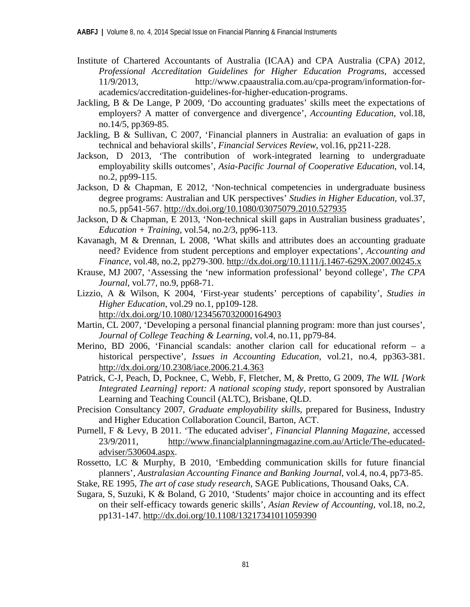- Institute of Chartered Accountants of Australia (ICAA) and CPA Australia (CPA) 2012, *Professional Accreditation Guidelines for Higher Education Programs*, accessed 11/9/2013, http://www.cpaaustralia.com.au/cpa-program/information-foracademics/accreditation-guidelines-for-higher-education-programs.
- Jackling, B & De Lange, P 2009, 'Do accounting graduates' skills meet the expectations of employers? A matter of convergence and divergence', *Accounting Education*, vol.18, no.14/5, pp369-85.
- Jackling, B & Sullivan, C 2007, 'Financial planners in Australia: an evaluation of gaps in technical and behavioral skills', *Financial Services Review*, vol.16, pp211-228.
- Jackson, D 2013, 'The contribution of work-integrated learning to undergraduate employability skills outcomes', *Asia-Pacific Journal of Cooperative Education*, vol.14, no.2, pp99-115.
- Jackson, D & Chapman, E 2012, 'Non-technical competencies in undergraduate business degree programs: Australian and UK perspectives' *Studies in Higher Education*, vol.37, no.5, pp541-567. http://dx.doi.org/10.1080/03075079.2010.527935
- Jackson, D & Chapman, E 2013, 'Non-technical skill gaps in Australian business graduates',  $Education + Training$ , vol.54, no.2/3, pp96-113.
- Kavanagh, M & Drennan, L 2008, 'What skills and attributes does an accounting graduate need? Evidence from student perceptions and employer expectations', *Accounting and Finance*, vol.48, no.2, pp279-300. http://dx.doi.org/10.1111/j.1467-629X.2007.00245.x
- Krause, MJ 2007, 'Assessing the 'new information professional' beyond college', *The CPA Journal*, vol.77, no.9, pp68-71.
- Lizzio, A & Wilson, K 2004, 'First-year students' perceptions of capability', *Studies in Higher Education*, vol.29 no.1, pp109-128. http://dx.doi.org/10.1080/1234567032000164903
- Martin, CL 2007, 'Developing a personal financial planning program: more than just courses', *Journal of College Teaching & Learning*, vol.4, no.11, pp79-84.
- Merino, BD 2006, 'Financial scandals: another clarion call for educational reform a historical perspective', *Issues in Accounting Education*, vol.21, no.4, pp363-381. http://dx.doi.org/10.2308/iace.2006.21.4.363
- Patrick, C-J, Peach, D, Pocknee, C, Webb, F, Fletcher, M, & Pretto, G 2009, *The WIL [Work Integrated Learning] report: A national scoping study*, report sponsored by Australian Learning and Teaching Council (ALTC), Brisbane, QLD.
- Precision Consultancy 2007, *Graduate employability skills*, prepared for Business, Industry and Higher Education Collaboration Council, Barton, ACT.
- Purnell, F & Levy, B 2011. 'The educated adviser', *Financial Planning Magazine*, accessed 23/9/2011, http://www.financialplanningmagazine.com.au/Article/The-educatedadviser/530604.aspx.
- Rossetto, LC & Murphy, B 2010, 'Embedding communication skills for future financial planners', *Australasian Accounting Finance and Banking Journal*, vol.4, no.4, pp73-85.
- Stake, RE 1995, *The art of case study research*, SAGE Publications, Thousand Oaks, CA.
- Sugara, S, Suzuki, K & Boland, G 2010, 'Students' major choice in accounting and its effect on their self-efficacy towards generic skills', *Asian Review of Accounting*, vol.18, no.2, pp131-147. http://dx.doi.org/10.1108/13217341011059390